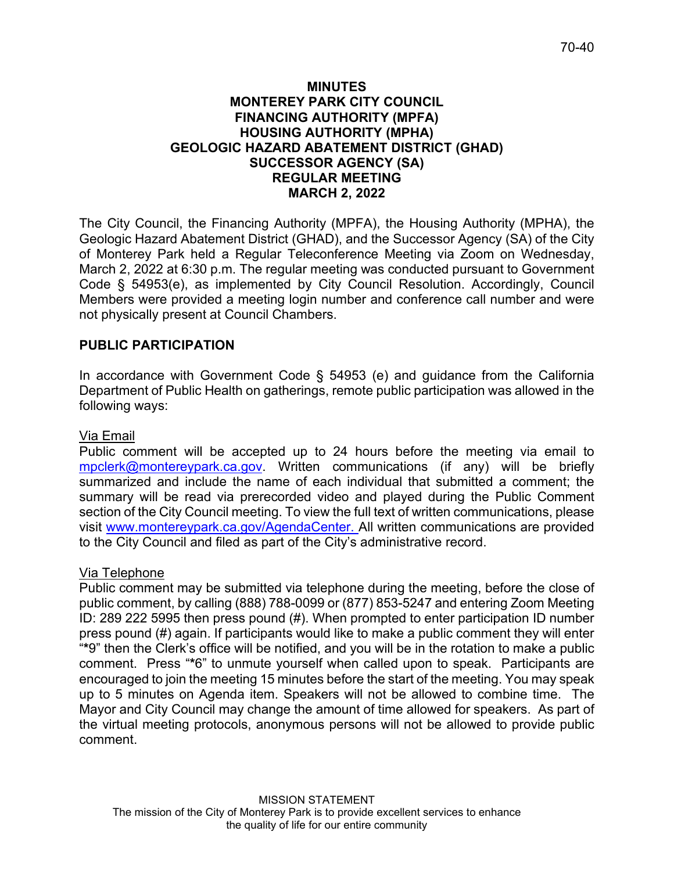## **MINUTES MONTEREY PARK CITY COUNCIL FINANCING AUTHORITY (MPFA) HOUSING AUTHORITY (MPHA) GEOLOGIC HAZARD ABATEMENT DISTRICT (GHAD) SUCCESSOR AGENCY (SA) REGULAR MEETING MARCH 2, 2022**

The City Council, the Financing Authority (MPFA), the Housing Authority (MPHA), the Geologic Hazard Abatement District (GHAD), and the Successor Agency (SA) of the City of Monterey Park held a Regular Teleconference Meeting via Zoom on Wednesday, March 2, 2022 at 6:30 p.m. The regular meeting was conducted pursuant to Government Code § 54953(e), as implemented by City Council Resolution. Accordingly, Council Members were provided a meeting login number and conference call number and were not physically present at Council Chambers.

# **PUBLIC PARTICIPATION**

In accordance with Government Code § 54953 (e) and guidance from the California Department of Public Health on gatherings, remote public participation was allowed in the following ways:

## Via Email

Public comment will be accepted up to 24 hours before the meeting via email to [mpclerk@montereypark.ca.gov.](mailto:mpclerk@montereypark.ca.gov) Written communications (if any) will be briefly summarized and include the name of each individual that submitted a comment; the summary will be read via prerecorded video and played during the Public Comment section of the City Council meeting. To view the full text of written communications, please visit [www.montereypark.ca.gov/AgendaCenter.](http://www.montereypark.ca.gov/AgendaCenter) All written communications are provided to the City Council and filed as part of the City's administrative record.

## Via Telephone

Public comment may be submitted via telephone during the meeting, before the close of public comment, by calling (888) 788-0099 or (877) 853-5247 and entering Zoom Meeting ID: 289 222 5995 then press pound (#). When prompted to enter participation ID number press pound (#) again. If participants would like to make a public comment they will enter "**\***9" then the Clerk's office will be notified, and you will be in the rotation to make a public comment. Press "**\***6" to unmute yourself when called upon to speak. Participants are encouraged to join the meeting 15 minutes before the start of the meeting. You may speak up to 5 minutes on Agenda item. Speakers will not be allowed to combine time. The Mayor and City Council may change the amount of time allowed for speakers. As part of the virtual meeting protocols, anonymous persons will not be allowed to provide public comment.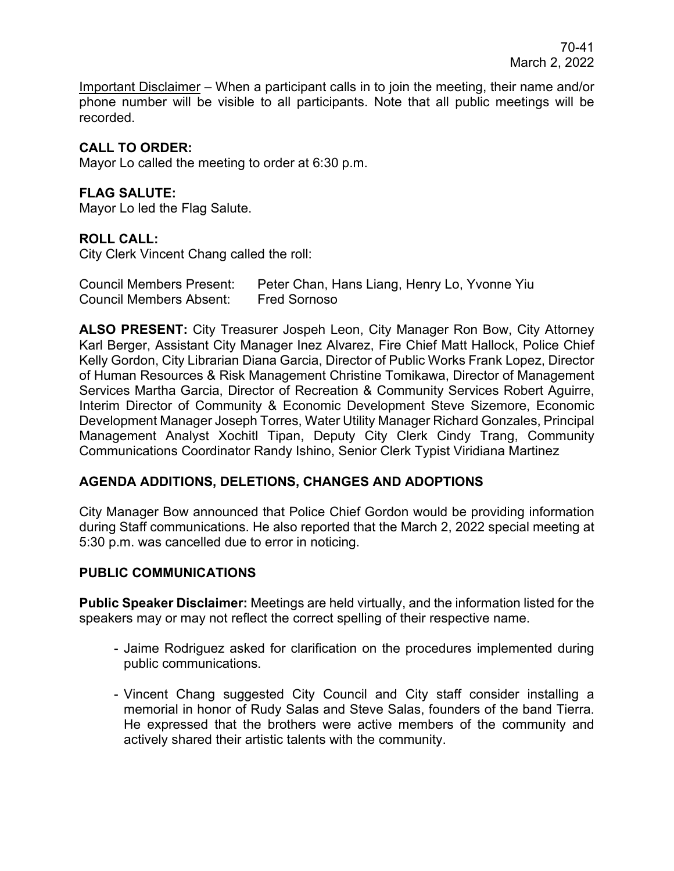Important Disclaimer – When a participant calls in to join the meeting, their name and/or phone number will be visible to all participants. Note that all public meetings will be recorded.

# **CALL TO ORDER:**

Mayor Lo called the meeting to order at 6:30 p.m.

# **FLAG SALUTE:**

Mayor Lo led the Flag Salute.

## **ROLL CALL:**

City Clerk Vincent Chang called the roll:

| <b>Council Members Present:</b> | Peter Chan, Hans Liang, Henry Lo, Yvonne Yiu |
|---------------------------------|----------------------------------------------|
| <b>Council Members Absent:</b>  | <b>Fred Sornoso</b>                          |

**ALSO PRESENT:** City Treasurer Jospeh Leon, City Manager Ron Bow, City Attorney Karl Berger, Assistant City Manager Inez Alvarez, Fire Chief Matt Hallock, Police Chief Kelly Gordon, City Librarian Diana Garcia, Director of Public Works Frank Lopez, Director of Human Resources & Risk Management Christine Tomikawa, Director of Management Services Martha Garcia, Director of Recreation & Community Services Robert Aguirre, Interim Director of Community & Economic Development Steve Sizemore, Economic Development Manager Joseph Torres, Water Utility Manager Richard Gonzales, Principal Management Analyst Xochitl Tipan, Deputy City Clerk Cindy Trang, Community Communications Coordinator Randy Ishino, Senior Clerk Typist Viridiana Martinez

## **AGENDA ADDITIONS, DELETIONS, CHANGES AND ADOPTIONS**

City Manager Bow announced that Police Chief Gordon would be providing information during Staff communications. He also reported that the March 2, 2022 special meeting at 5:30 p.m. was cancelled due to error in noticing.

## **PUBLIC COMMUNICATIONS**

**Public Speaker Disclaimer:** Meetings are held virtually, and the information listed for the speakers may or may not reflect the correct spelling of their respective name.

- Jaime Rodriguez asked for clarification on the procedures implemented during public communications.
- Vincent Chang suggested City Council and City staff consider installing a memorial in honor of Rudy Salas and Steve Salas, founders of the band Tierra. He expressed that the brothers were active members of the community and actively shared their artistic talents with the community.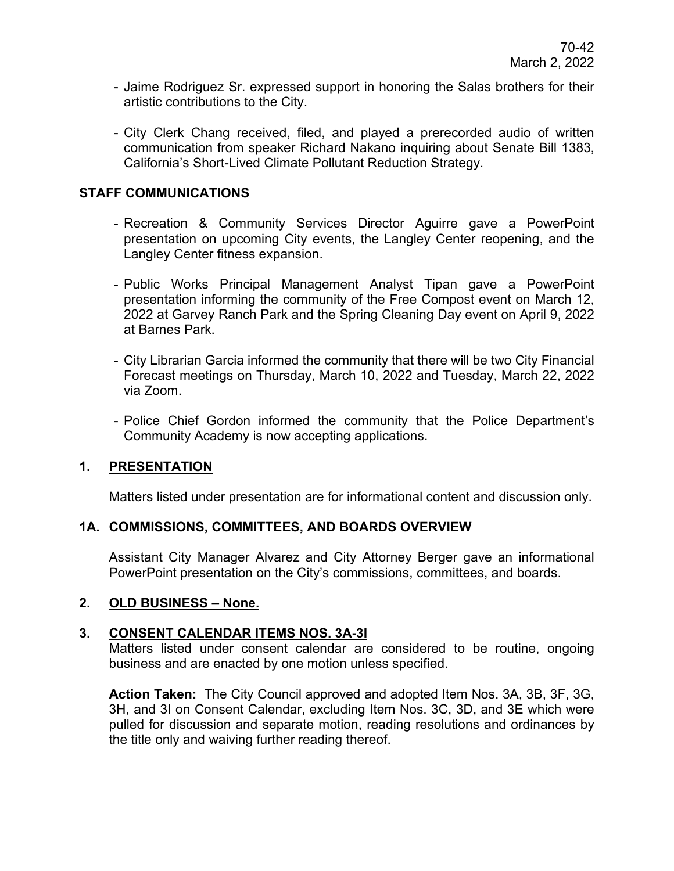- Jaime Rodriguez Sr. expressed support in honoring the Salas brothers for their artistic contributions to the City.
- City Clerk Chang received, filed, and played a prerecorded audio of written communication from speaker Richard Nakano inquiring about Senate Bill 1383, California's Short-Lived Climate Pollutant Reduction Strategy.

# **STAFF COMMUNICATIONS**

- Recreation & Community Services Director Aguirre gave a PowerPoint presentation on upcoming City events, the Langley Center reopening, and the Langley Center fitness expansion.
- Public Works Principal Management Analyst Tipan gave a PowerPoint presentation informing the community of the Free Compost event on March 12, 2022 at Garvey Ranch Park and the Spring Cleaning Day event on April 9, 2022 at Barnes Park.
- City Librarian Garcia informed the community that there will be two City Financial Forecast meetings on Thursday, March 10, 2022 and Tuesday, March 22, 2022 via Zoom.
- Police Chief Gordon informed the community that the Police Department's Community Academy is now accepting applications.

## **1. PRESENTATION**

Matters listed under presentation are for informational content and discussion only.

## **1A. COMMISSIONS, COMMITTEES, AND BOARDS OVERVIEW**

Assistant City Manager Alvarez and City Attorney Berger gave an informational PowerPoint presentation on the City's commissions, committees, and boards.

# **2. OLD BUSINESS – None.**

## **3. CONSENT CALENDAR ITEMS NOS. 3A-3I**

Matters listed under consent calendar are considered to be routine, ongoing business and are enacted by one motion unless specified.

**Action Taken:** The City Council approved and adopted Item Nos. 3A, 3B, 3F, 3G, 3H, and 3I on Consent Calendar, excluding Item Nos. 3C, 3D, and 3E which were pulled for discussion and separate motion, reading resolutions and ordinances by the title only and waiving further reading thereof.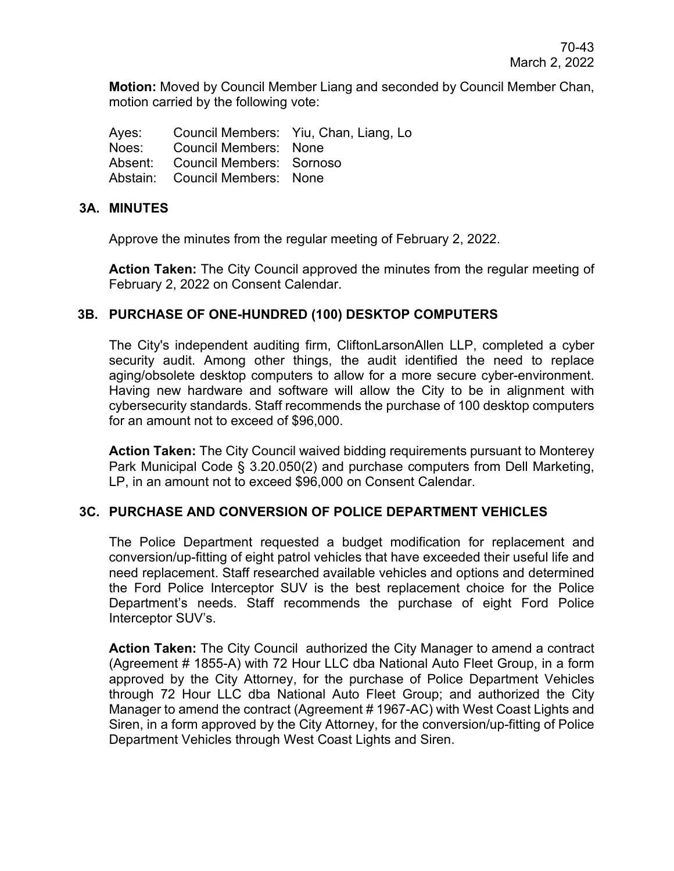**Motion:** Moved by Council Member Liang and seconded by Council Member Chan, motion carried by the following vote:

|                                  | Ayes: Council Members: Yiu, Chan, Liang, Lo |
|----------------------------------|---------------------------------------------|
| Noes: Council Members: None      |                                             |
| Absent: Council Members: Sornoso |                                             |
| Abstain: Council Members: None   |                                             |

#### **3A. MINUTES**

Approve the minutes from the regular meeting of February 2, 2022.

**Action Taken:** The City Council approved the minutes from the regular meeting of February 2, 2022 on Consent Calendar.

## **3B. PURCHASE OF ONE-HUNDRED (100) DESKTOP COMPUTERS**

The City's independent auditing firm, CliftonLarsonAllen LLP, completed a cyber security audit. Among other things, the audit identified the need to replace aging/obsolete desktop computers to allow for a more secure cyber-environment. Having new hardware and software will allow the City to be in alignment with cybersecurity standards. Staff recommends the purchase of 100 desktop computers for an amount not to exceed of \$96,000.

**Action Taken:** The City Council waived bidding requirements pursuant to Monterey Park Municipal Code § 3.20.050(2) and purchase computers from Dell Marketing, LP, in an amount not to exceed \$96,000 on Consent Calendar.

#### **3C. PURCHASE AND CONVERSION OF POLICE DEPARTMENT VEHICLES**

The Police Department requested a budget modification for replacement and conversion/up-fitting of eight patrol vehicles that have exceeded their useful life and need replacement. Staff researched available vehicles and options and determined the Ford Police Interceptor SUV is the best replacement choice for the Police Department's needs. Staff recommends the purchase of eight Ford Police Interceptor SUV's.

**Action Taken:** The City Council authorized the City Manager to amend a contract (Agreement # 1855-A) with 72 Hour LLC dba National Auto Fleet Group, in a form approved by the City Attorney, for the purchase of Police Department Vehicles through 72 Hour LLC dba National Auto Fleet Group; and authorized the City Manager to amend the contract (Agreement # 1967-AC) with West Coast Lights and Siren, in a form approved by the City Attorney, for the conversion/up-fitting of Police Department Vehicles through West Coast Lights and Siren.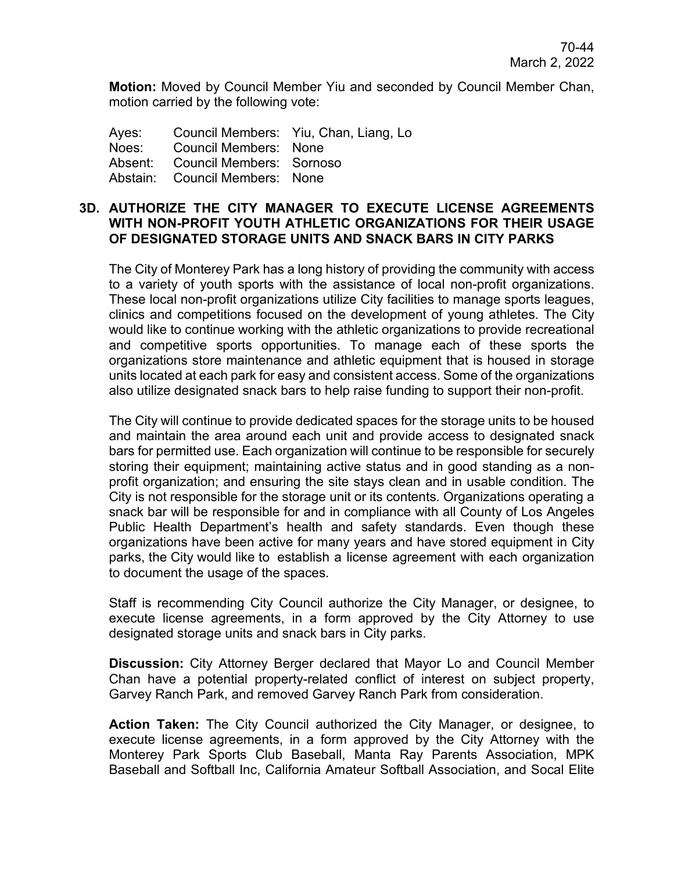**Motion:** Moved by Council Member Yiu and seconded by Council Member Chan, motion carried by the following vote:

|                                  | Ayes: Council Members: Yiu, Chan, Liang, Lo |
|----------------------------------|---------------------------------------------|
| Noes: Council Members: None      |                                             |
| Absent: Council Members: Sornoso |                                             |
| Abstain: Council Members: None   |                                             |

## **3D. AUTHORIZE THE CITY MANAGER TO EXECUTE LICENSE AGREEMENTS WITH NON-PROFIT YOUTH ATHLETIC ORGANIZATIONS FOR THEIR USAGE OF DESIGNATED STORAGE UNITS AND SNACK BARS IN CITY PARKS**

The City of Monterey Park has a long history of providing the community with access to a variety of youth sports with the assistance of local non-profit organizations. These local non-profit organizations utilize City facilities to manage sports leagues, clinics and competitions focused on the development of young athletes. The City would like to continue working with the athletic organizations to provide recreational and competitive sports opportunities. To manage each of these sports the organizations store maintenance and athletic equipment that is housed in storage units located at each park for easy and consistent access. Some of the organizations also utilize designated snack bars to help raise funding to support their non-profit.

The City will continue to provide dedicated spaces for the storage units to be housed and maintain the area around each unit and provide access to designated snack bars for permitted use. Each organization will continue to be responsible for securely storing their equipment; maintaining active status and in good standing as a nonprofit organization; and ensuring the site stays clean and in usable condition. The City is not responsible for the storage unit or its contents. Organizations operating a snack bar will be responsible for and in compliance with all County of Los Angeles Public Health Department's health and safety standards. Even though these organizations have been active for many years and have stored equipment in City parks, the City would like to establish a license agreement with each organization to document the usage of the spaces.

Staff is recommending City Council authorize the City Manager, or designee, to execute license agreements, in a form approved by the City Attorney to use designated storage units and snack bars in City parks.

**Discussion:** City Attorney Berger declared that Mayor Lo and Council Member Chan have a potential property-related conflict of interest on subject property, Garvey Ranch Park, and removed Garvey Ranch Park from consideration.

**Action Taken:** The City Council authorized the City Manager, or designee, to execute license agreements, in a form approved by the City Attorney with the Monterey Park Sports Club Baseball, Manta Ray Parents Association, MPK Baseball and Softball Inc, California Amateur Softball Association, and Socal Elite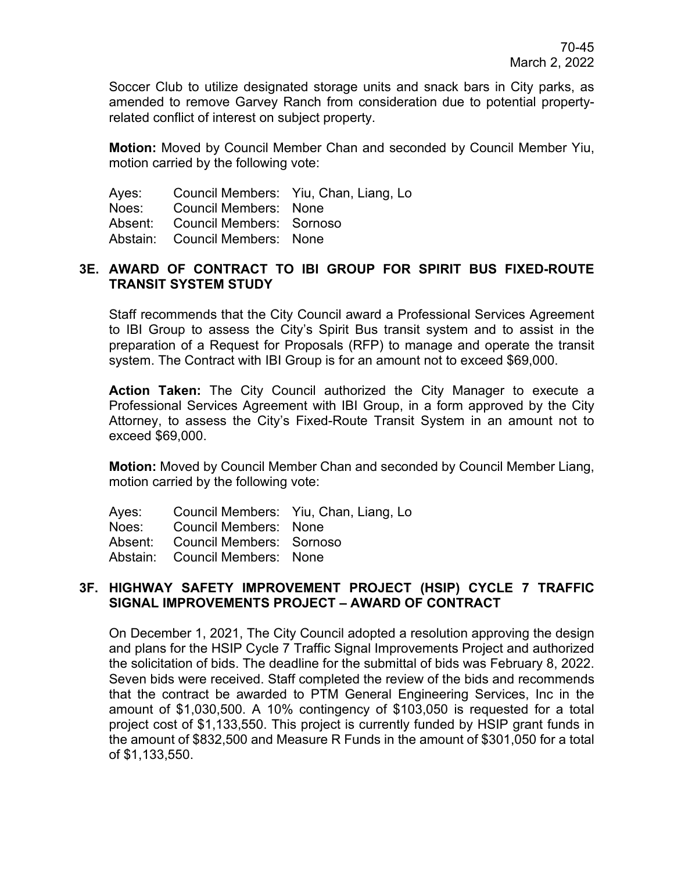Soccer Club to utilize designated storage units and snack bars in City parks, as amended to remove Garvey Ranch from consideration due to potential propertyrelated conflict of interest on subject property.

**Motion:** Moved by Council Member Chan and seconded by Council Member Yiu, motion carried by the following vote:

|                                                  | Ayes: Council Members: Yiu, Chan, Liang, Lo |
|--------------------------------------------------|---------------------------------------------|
| Noes: Council Members: None                      |                                             |
| Absent: Council Members: Sornoso                 |                                             |
| $\sim$ $\sim$ $\sim$ $\sim$ $\sim$ $\sim$ $\sim$ |                                             |

Abstain: Council Members: None

#### **3E. AWARD OF CONTRACT TO IBI GROUP FOR SPIRIT BUS FIXED-ROUTE TRANSIT SYSTEM STUDY**

Staff recommends that the City Council award a Professional Services Agreement to IBI Group to assess the City's Spirit Bus transit system and to assist in the preparation of a Request for Proposals (RFP) to manage and operate the transit system. The Contract with IBI Group is for an amount not to exceed \$69,000.

**Action Taken:** The City Council authorized the City Manager to execute a Professional Services Agreement with IBI Group, in a form approved by the City Attorney, to assess the City's Fixed-Route Transit System in an amount not to exceed \$69,000.

**Motion:** Moved by Council Member Chan and seconded by Council Member Liang, motion carried by the following vote:

| Ayes: | <b>Council Members:</b> | Yiu, Chan, Liang, Lo |  |
|-------|-------------------------|----------------------|--|
|-------|-------------------------|----------------------|--|

Noes: Council Members: None

Absent: Council Members: Sornoso

Abstain: Council Members: None

## **3F. HIGHWAY SAFETY IMPROVEMENT PROJECT (HSIP) CYCLE 7 TRAFFIC SIGNAL IMPROVEMENTS PROJECT – AWARD OF CONTRACT**

On December 1, 2021, The City Council adopted a resolution approving the design and plans for the HSIP Cycle 7 Traffic Signal Improvements Project and authorized the solicitation of bids. The deadline for the submittal of bids was February 8, 2022. Seven bids were received. Staff completed the review of the bids and recommends that the contract be awarded to PTM General Engineering Services, Inc in the amount of \$1,030,500. A 10% contingency of \$103,050 is requested for a total project cost of \$1,133,550. This project is currently funded by HSIP grant funds in the amount of \$832,500 and Measure R Funds in the amount of \$301,050 for a total of \$1,133,550.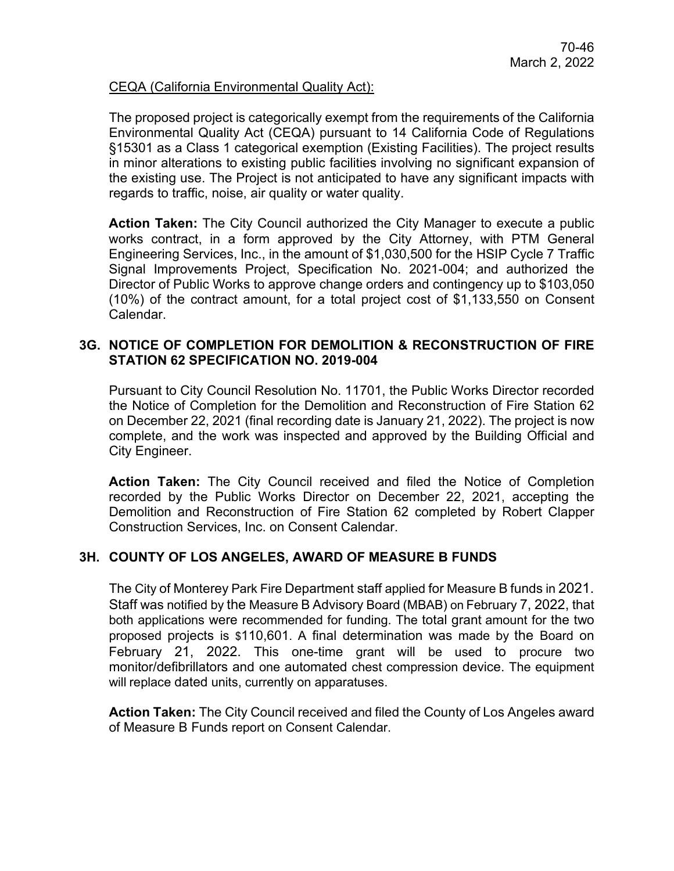#### CEQA (California Environmental Quality Act):

The proposed project is categorically exempt from the requirements of the California Environmental Quality Act (CEQA) pursuant to 14 California Code of Regulations §15301 as a Class 1 categorical exemption (Existing Facilities). The project results in minor alterations to existing public facilities involving no significant expansion of the existing use. The Project is not anticipated to have any significant impacts with regards to traffic, noise, air quality or water quality.

**Action Taken:** The City Council authorized the City Manager to execute a public works contract, in a form approved by the City Attorney, with PTM General Engineering Services, Inc., in the amount of \$1,030,500 for the HSIP Cycle 7 Traffic Signal Improvements Project, Specification No. 2021-004; and authorized the Director of Public Works to approve change orders and contingency up to \$103,050 (10%) of the contract amount, for a total project cost of \$1,133,550 on Consent Calendar.

#### **3G. NOTICE OF COMPLETION FOR DEMOLITION & RECONSTRUCTION OF FIRE STATION 62 SPECIFICATION NO. 2019-004**

Pursuant to City Council Resolution No. 11701, the Public Works Director recorded the Notice of Completion for the Demolition and Reconstruction of Fire Station 62 on December 22, 2021 (final recording date is January 21, 2022). The project is now complete, and the work was inspected and approved by the Building Official and City Engineer.

**Action Taken:** The City Council received and filed the Notice of Completion recorded by the Public Works Director on December 22, 2021, accepting the Demolition and Reconstruction of Fire Station 62 completed by Robert Clapper Construction Services, Inc. on Consent Calendar.

## **3H. COUNTY OF LOS ANGELES, AWARD OF MEASURE B FUNDS**

The City of Monterey Park Fire Department staff applied for Measure B funds in 2021. Staff was notified by the Measure B Advisory Board (MBAB) on February 7, 2022, that both applications were recommended for funding. The total grant amount for the two proposed projects is \$110,601. A final determination was made by the Board on February 21, 2022. This one-time grant will be used to procure two monitor/defibrillators and one automated chest compression device. The equipment will replace dated units, currently on apparatuses.

**Action Taken:** The City Council received and filed the County of Los Angeles award of Measure B Funds report on Consent Calendar.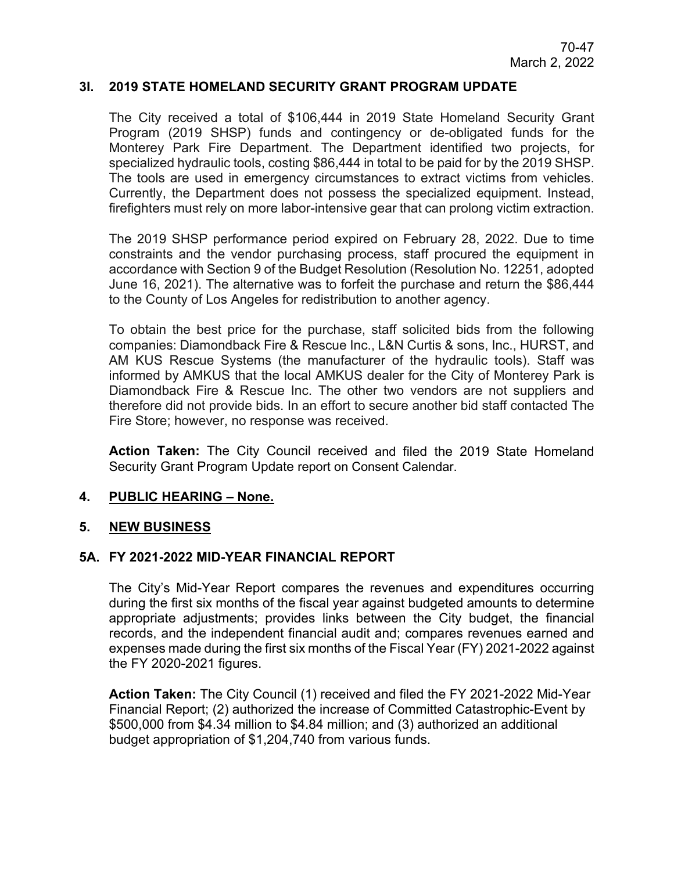#### **3I. 2019 STATE HOMELAND SECURITY GRANT PROGRAM UPDATE**

The City received a total of \$106,444 in 2019 State Homeland Security Grant Program (2019 SHSP) funds and contingency or de-obligated funds for the Monterey Park Fire Department. The Department identified two projects, for specialized hydraulic tools, costing \$86,444 in total to be paid for by the 2019 SHSP. The tools are used in emergency circumstances to extract victims from vehicles. Currently, the Department does not possess the specialized equipment. Instead, firefighters must rely on more labor-intensive gear that can prolong victim extraction.

The 2019 SHSP performance period expired on February 28, 2022. Due to time constraints and the vendor purchasing process, staff procured the equipment in accordance with Section 9 of the Budget Resolution (Resolution No. 12251, adopted June 16, 2021). The alternative was to forfeit the purchase and return the \$86,444 to the County of Los Angeles for redistribution to another agency.

To obtain the best price for the purchase, staff solicited bids from the following companies: Diamondback Fire & Rescue Inc., L&N Curtis & sons, Inc., HURST, and AM KUS Rescue Systems (the manufacturer of the hydraulic tools). Staff was informed by AMKUS that the local AMKUS dealer for the City of Monterey Park is Diamondback Fire & Rescue Inc. The other two vendors are not suppliers and therefore did not provide bids. In an effort to secure another bid staff contacted The Fire Store; however, no response was received.

**Action Taken:** The City Council received and filed the 2019 State Homeland Security Grant Program Update report on Consent Calendar.

#### **4. PUBLIC HEARING – None.**

#### **5. NEW BUSINESS**

#### **5A. FY 2021-2022 MID-YEAR FINANCIAL REPORT**

The City's Mid-Year Report compares the revenues and expenditures occurring during the first six months of the fiscal year against budgeted amounts to determine appropriate adjustments; provides links between the City budget, the financial records, and the independent financial audit and; compares revenues earned and expenses made during the first six months of the Fiscal Year (FY) 2021-2022 against the FY 2020-2021 figures.

**Action Taken:** The City Council (1) received and filed the FY 2021-2022 Mid-Year Financial Report; (2) authorized the increase of Committed Catastrophic-Event by \$500,000 from \$4.34 million to \$4.84 million; and (3) authorized an additional budget appropriation of \$1,204,740 from various funds.